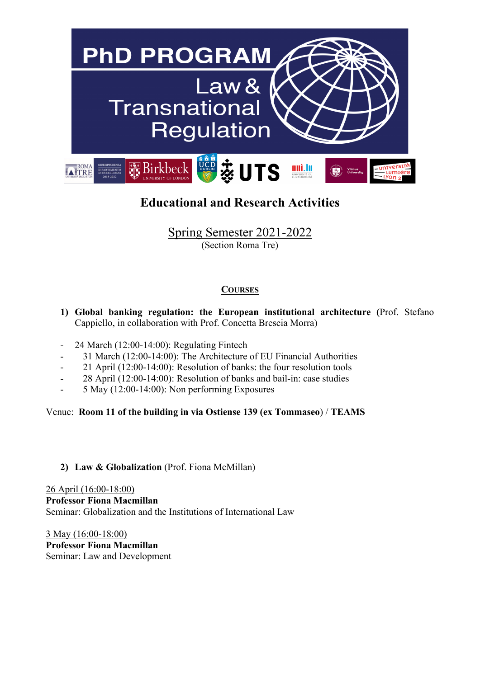

# **Educational and Research Activities**

Spring Semester 2021-2022 (Section Roma Tre)

## **COURSES**

- **1) Global banking regulation: the European institutional architecture (**Prof. Stefano Cappiello, in collaboration with Prof. Concetta Brescia Morra)
- 24 March (12:00-14:00): Regulating Fintech
- 31 March (12:00-14:00): The Architecture of EU Financial Authorities
- 21 April (12:00-14:00): Resolution of banks: the four resolution tools
- 28 April (12:00-14:00): Resolution of banks and bail-in: case studies
- 5 May (12:00-14:00): Non performing Exposures

Venue: **Room 11 of the building in via Ostiense 139 (ex Tommaseo**) / **TEAMS**

## **2) Law & Globalization** (Prof. Fiona McMillan)

26 April (16:00-18:00) **Professor Fiona Macmillan** Seminar: Globalization and the Institutions of International Law

3 May (16:00-18:00) **Professor Fiona Macmillan** Seminar: Law and Development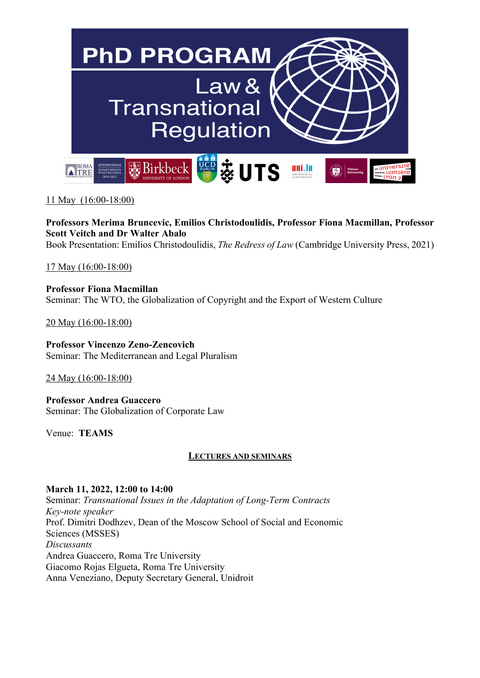

11 May (16:00-18:00)

**Professors Merima Bruncevic, Emilios Christodoulidis, Professor Fiona Macmillan, Professor Scott Veitch and Dr Walter Abalo** Book Presentation: Emilios Christodoulidis, *The Redress of Law* (Cambridge University Press, 2021)

17 May (16:00-18:00)

**Professor Fiona Macmillan** Seminar: The WTO, the Globalization of Copyright and the Export of Western Culture

20 May (16:00-18:00)

**Professor Vincenzo Zeno-Zencovich** Seminar: The Mediterranean and Legal Pluralism

24 May (16:00-18:00)

**Professor Andrea Guaccero** Seminar: The Globalization of Corporate Law

Venue: **TEAMS**

#### **LECTURES AND SEMINARS**

#### **March 11, 2022, 12:00 to 14:00**

Seminar: *Transnational Issues in the Adaptation of Long-Term Contracts Key-note speaker* Prof. Dimitri Dodhzev, Dean of the Moscow School of Social and Economic Sciences (MSSES) *Discussants* Andrea Guaccero, Roma Tre University Giacomo Rojas Elgueta, Roma Tre University Anna Veneziano, Deputy Secretary General, Unidroit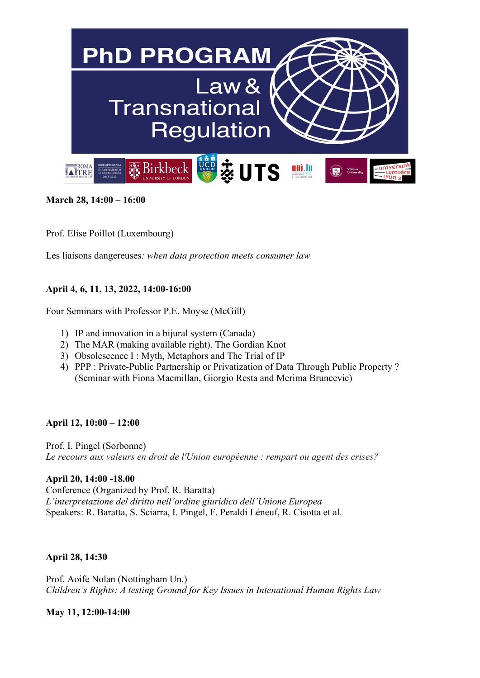

**March 28, 14:00 – 16:00** 

Prof. Elise Poillot (Luxembourg)

Les liaisons dangereuses*: when data protection meets consumer law*

#### **April 4, 6, 11, 13, 2022, 14:00-16:00**

Four Seminars with Professor P.E. Moyse (McGill)

- 1) IP and innovation in a bijural system (Canada)
- 2) The MAR (making available right). The Gordian Knot
- 3) Obsolescence I : Myth, Metaphors and The Trial of IP
- 4) PPP : Private-Public Partnership or Privatization of Data Through Public Property ? (Seminar with Fiona Macmillan, Giorgio Resta and Merima Bruncevic)

#### **April 12, 10:00 – 12:00**

Prof. I. Pingel (Sorbonne) *Le recours aux valeurs en droit de l'Union européenne : rempart ou agent des crises?*

**April 20, 14:00 -18.00** Conference (Organized by Prof. R. Baratta) *L'interpretazione del diritto nell'ordine giuridico dell'Unione Europea* Speakers: R. Baratta, S. Sciarra, I. Pingel, F. Peraldi Léneuf, R. Cisotta et al.

#### **April 28, 14:30**

Prof. Aoife Nolan (Nottingham Un.) *Children's Rights: A testing Ground for Key Issues in Intenational Human Rights Law*

**May 11, 12:00-14:00**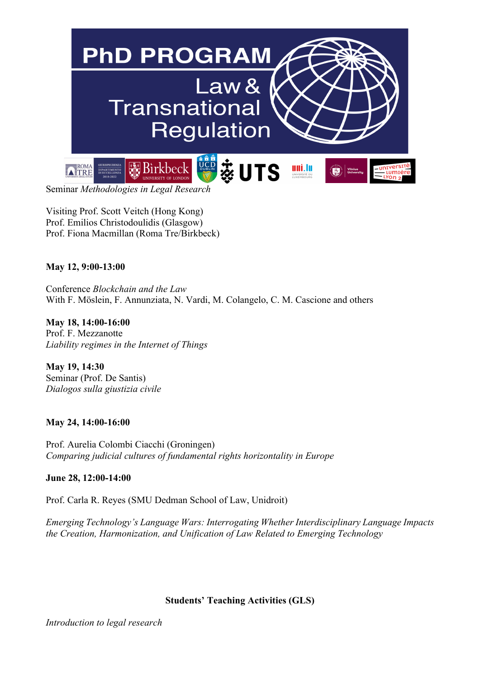

Visiting Prof. Scott Veitch (Hong Kong) Prof. Emilios Christodoulidis (Glasgow) Prof. Fiona Macmillan (Roma Tre/Birkbeck)

### **May 12, 9:00-13:00**

Conference *Blockchain and the Law* With F. Möslein, F. Annunziata, N. Vardi, M. Colangelo, C. M. Cascione and others

**May 18, 14:00-16:00** Prof. F. Mezzanotte *Liability regimes in the Internet of Things*

**May 19, 14:30** Seminar (Prof. De Santis) *Dialogos sulla giustizia civile*

#### **May 24, 14:00-16:00**

Prof. Aurelia Colombi Ciacchi (Groningen) *Comparing judicial cultures of fundamental rights horizontality in Europe*

#### **June 28, 12:00-14:00**

Prof. Carla R. Reyes (SMU Dedman School of Law, Unidroit)

*Emerging Technology's Language Wars: Interrogating Whether Interdisciplinary Language Impacts the Creation, Harmonization, and Unification of Law Related to Emerging Technology* 

#### **Students' Teaching Activities (GLS)**

*Introduction to legal research*